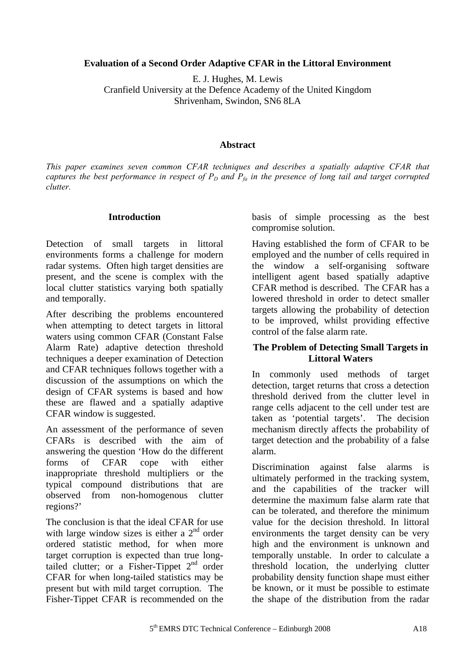# **Evaluation of a Second Order Adaptive CFAR in the Littoral Environment**

E. J. Hughes, M. Lewis

Cranfield University at the Defence Academy of the United Kingdom

Shrivenham, Swindon, SN6 8LA

# **Abstract**

*This paper examines seven common CFAR techniques and describes a spatially adaptive CFAR that captures the best performance in respect of*  $P_D$  and  $P_{fa}$  in the presence of long tail and target corrupted *clutter.* 

# **Introduction**

Detection of small targets in littoral environments forms a challenge for modern radar systems. Often high target densities are present, and the scene is complex with the local clutter statistics varying both spatially and temporally.

After describing the problems encountered when attempting to detect targets in littoral waters using common CFAR (Constant False Alarm Rate) adaptive detection threshold techniques a deeper examination of Detection and CFAR techniques follows together with a discussion of the assumptions on which the design of CFAR systems is based and how these are flawed and a spatially adaptive CFAR window is suggested.

An assessment of the performance of seven CFARs is described with the aim of answering the question 'How do the different forms of CFAR cope with either inappropriate threshold multipliers or the typical compound distributions that are observed from non-homogenous clutter regions?'

The conclusion is that the ideal CFAR for use with large window sizes is either a  $2<sup>nd</sup>$  order ordered statistic method, for when more target corruption is expected than true longtailed clutter; or a Fisher-Tippet  $2<sup>nd</sup>$  order CFAR for when long-tailed statistics may be present but with mild target corruption. The Fisher-Tippet CFAR is recommended on the basis of simple processing as the best compromise solution.

Having established the form of CFAR to be employed and the number of cells required in the window a self-organising software intelligent agent based spatially adaptive CFAR method is described. The CFAR has a lowered threshold in order to detect smaller targets allowing the probability of detection to be improved, whilst providing effective control of the false alarm rate.

# **The Problem of Detecting Small Targets in Littoral Waters**

In commonly used methods of target detection, target returns that cross a detection threshold derived from the clutter level in range cells adjacent to the cell under test are taken as 'potential targets'. The decision mechanism directly affects the probability of target detection and the probability of a false alarm.

Discrimination against false alarms is ultimately performed in the tracking system, and the capabilities of the tracker will determine the maximum false alarm rate that can be tolerated, and therefore the minimum value for the decision threshold. In littoral environments the target density can be very high and the environment is unknown and temporally unstable. In order to calculate a threshold location, the underlying clutter probability density function shape must either be known, or it must be possible to estimate the shape of the distribution from the radar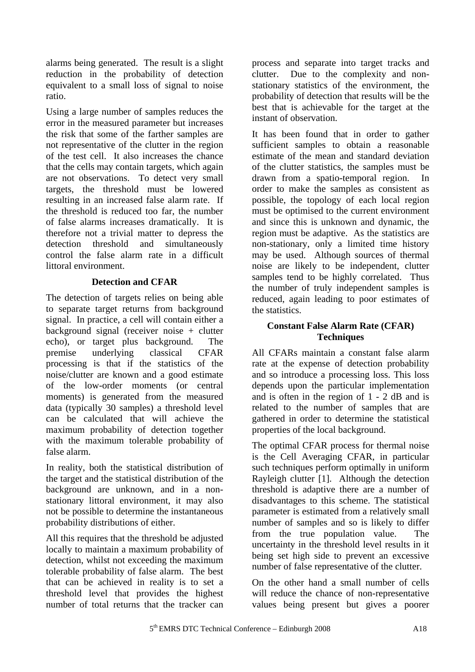alarms being generated. The result is a slight reduction in the probability of detection equivalent to a small loss of signal to noise ratio.

Using a large number of samples reduces the error in the measured parameter but increases the risk that some of the farther samples are not representative of the clutter in the region of the test cell. It also increases the chance that the cells may contain targets, which again are not observations. To detect very small targets, the threshold must be lowered resulting in an increased false alarm rate. If the threshold is reduced too far, the number of false alarms increases dramatically. It is therefore not a trivial matter to depress the detection threshold and simultaneously control the false alarm rate in a difficult littoral environment.

# **Detection and CFAR**

The detection of targets relies on being able to separate target returns from background signal. In practice, a cell will contain either a background signal (receiver noise + clutter echo), or target plus background. The premise underlying classical CFAR processing is that if the statistics of the noise/clutter are known and a good estimate of the low-order moments (or central moments) is generated from the measured data (typically 30 samples) a threshold level can be calculated that will achieve the maximum probability of detection together with the maximum tolerable probability of false alarm.

In reality, both the statistical distribution of the target and the statistical distribution of the background are unknown, and in a nonstationary littoral environment, it may also not be possible to determine the instantaneous probability distributions of either.

All this requires that the threshold be adjusted locally to maintain a maximum probability of detection, whilst not exceeding the maximum tolerable probability of false alarm. The best that can be achieved in reality is to set a threshold level that provides the highest number of total returns that the tracker can

process and separate into target tracks and clutter. Due to the complexity and nonstationary statistics of the environment, the probability of detection that results will be the best that is achievable for the target at the instant of observation.

It has been found that in order to gather sufficient samples to obtain a reasonable estimate of the mean and standard deviation of the clutter statistics, the samples must be drawn from a spatio-temporal region. In order to make the samples as consistent as possible, the topology of each local region must be optimised to the current environment and since this is unknown and dynamic, the region must be adaptive. As the statistics are non-stationary, only a limited time history may be used. Although sources of thermal noise are likely to be independent, clutter samples tend to be highly correlated. Thus the number of truly independent samples is reduced, again leading to poor estimates of the statistics.

# **Constant False Alarm Rate (CFAR) Techniques**

All CFARs maintain a constant false alarm rate at the expense of detection probability and so introduce a processing loss. This loss depends upon the particular implementation and is often in the region of 1 - 2 dB and is related to the number of samples that are gathered in order to determine the statistical properties of the local background.

The optimal CFAR process for thermal noise is the Cell Averaging CFAR, in particular such techniques perform optimally in uniform Rayleigh clutter [1]. Although the detection threshold is adaptive there are a number of disadvantages to this scheme. The statistical parameter is estimated from a relatively small number of samples and so is likely to differ from the true population value. The uncertainty in the threshold level results in it being set high side to prevent an excessive number of false representative of the clutter.

On the other hand a small number of cells will reduce the chance of non-representative values being present but gives a poorer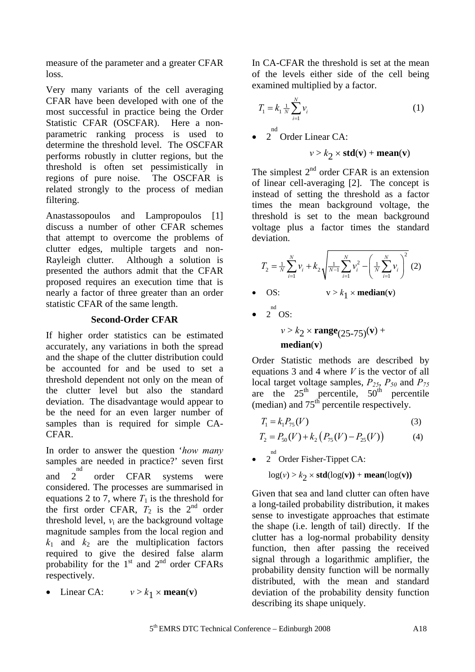measure of the parameter and a greater CFAR loss.

Very many variants of the cell averaging CFAR have been developed with one of the most successful in practice being the Order Statistic CFAR (OSCFAR). Here a nonparametric ranking process is used to determine the threshold level. The OSCFAR performs robustly in clutter regions, but the threshold is often set pessimistically in regions of pure noise. The OSCFAR is related strongly to the process of median filtering.

Anastassopoulos and Lampropoulos [1] discuss a number of other CFAR schemes that attempt to overcome the problems of clutter edges, multiple targets and non-Rayleigh clutter. Although a solution is presented the authors admit that the CFAR proposed requires an execution time that is nearly a factor of three greater than an order statistic CFAR of the same length.

# **Second-Order CFAR**

If higher order statistics can be estimated accurately, any variations in both the spread and the shape of the clutter distribution could be accounted for and be used to set a threshold dependent not only on the mean of the clutter level but also the standard deviation. The disadvantage would appear to be the need for an even larger number of samples than is required for simple CA-CFAR.

In order to answer the question '*how many* samples are needed in practice?' seven first and  $\frac{1}{2}$ nd order CFAR systems were considered. The processes are summarised in equations 2 to 7, where  $T_1$  is the threshold for the first order CFAR,  $T_2$  is the  $2<sup>nd</sup>$  order threshold level,  $v_i$  are the background voltage magnitude samples from the local region and  $k_1$  and  $k_2$  are the multiplication factors required to give the desired false alarm probability for the  $1<sup>st</sup>$  and  $2<sup>nd</sup>$  order CFARs respectively.

Linear CA:  $v > k_1 \times \text{mean}(v)$ 

In CA-CFAR the threshold is set at the mean of the levels either side of the cell being examined multiplied by a factor.

$$
T_1 = k_1 \frac{1}{N} \sum_{i=1}^{N} v_i
$$
 (1)

 $\bullet$  2<sup>nd</sup> Order Linear CA:

$$
v > k_2 \times \text{std}(v) + \text{mean}(v)
$$

The simplest  $2<sup>nd</sup>$  order CFAR is an extension of linear cell-averaging [2]. The concept is instead of setting the threshold as a factor times the mean background voltage, the threshold is set to the mean background voltage plus a factor times the standard deviation.

$$
T_2 = \frac{1}{N} \sum_{i=1}^{N} v_i + k_2 \sqrt{\frac{1}{N-1} \sum_{i=1}^{N} v_i^2 - \left(\frac{1}{N} \sum_{i=1}^{N} v_i\right)^2} (2)
$$

- OS:  $v > k_1 \times \text{median}(v)$
- $\bullet$  2<sup>nd</sup> OS:

 $v > k_2 \times \text{range}_{(25-75)}(v) +$ **median**(**v**)

Order Statistic methods are described by equations 3 and 4 where *V* is the vector of all local target voltage samples,  $P_{25}$ ,  $P_{50}$  and  $P_{75}$ are the  $25<sup>th</sup>$  percentile,  $50<sup>th</sup>$  percentile (median) and  $75<sup>th</sup>$  percentile respectively.

$$
T_1 = k_1 P_{75}(V)
$$
 (3)

$$
T_2 = P_{50}(V) + k_2 (P_{75}(V) - P_{25}(V))
$$
 (4)

 $\bullet$  2<sup>nd</sup> Order Fisher-Tippet CA:

 $log(v) > k_2 \times std(log(v)) + mean(log(v))$ 

Given that sea and land clutter can often have a long-tailed probability distribution, it makes sense to investigate approaches that estimate the shape (i.e. length of tail) directly. If the clutter has a log-normal probability density function, then after passing the received signal through a logarithmic amplifier, the probability density function will be normally distributed, with the mean and standard deviation of the probability density function describing its shape uniquely.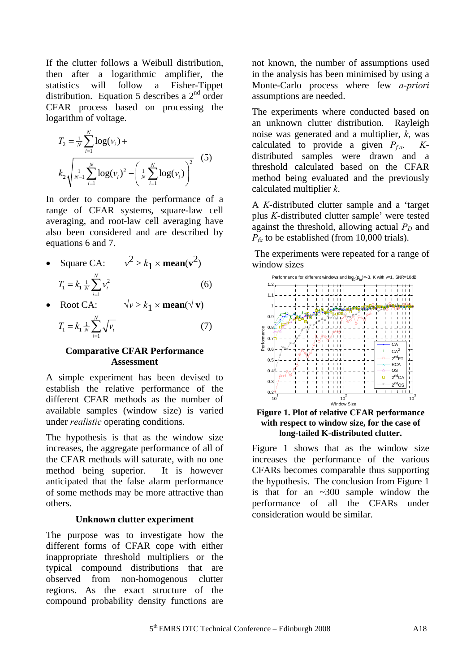If the clutter follows a Weibull distribution, then after a logarithmic amplifier, the statistics will follow a Fisher-Tippet distribution. Equation 5 describes a  $2<sup>nd</sup>$  order CFAR process based on processing the logarithm of voltage.

$$
T_2 = \frac{1}{N} \sum_{i=1}^{N} \log(v_i) +
$$
  

$$
k_2 \sqrt{\frac{1}{N-1} \sum_{i=1}^{N} \log(v_i)^2 - \left(\frac{1}{N} \sum_{i=1}^{N} \log(v_i)\right)^2}
$$
 (5)

In order to compare the performance of a range of CFAR systems, square-law cell averaging, and root-law cell averaging have also been considered and are described by equations 6 and 7.

- Square CA:  $v^2 > k_1 \times \text{mean}(v^2)$  $\sum_{i=1}^{7} = k_1 \frac{1}{N} \sum_{i=1}^{N} v_i^2$ 1 *N*  $\overline{N}$   $\sum_{i=1}^{V}$  $T_1 = k_1 \frac{1}{N} \sum v$  $= k_1 \frac{1}{N} \sum_{i=1}^{N} v_i^2$  (6)
- Root CA:  $\sqrt{v} > k_1 \times \text{mean}(\sqrt{v})$

$$
T_1 = k_1 \frac{1}{N} \sum_{i=1}^{N} \sqrt{\nu_i}
$$
 (7)

### **Comparative CFAR Performance Assessment**

A simple experiment has been devised to establish the relative performance of the different CFAR methods as the number of available samples (window size) is varied under *realistic* operating conditions.

The hypothesis is that as the window size increases, the aggregate performance of all of the CFAR methods will saturate, with no one method being superior. It is however anticipated that the false alarm performance of some methods may be more attractive than others.

## **Unknown clutter experiment**

The purpose was to investigate how the different forms of CFAR cope with either inappropriate threshold multipliers or the typical compound distributions that are observed from non-homogenous clutter regions. As the exact structure of the compound probability density functions are not known, the number of assumptions used in the analysis has been minimised by using a Monte-Carlo process where few *a-priori* assumptions are needed.

The experiments where conducted based on an unknown clutter distribution. Rayleigh noise was generated and a multiplier, *k*, was calculated to provide a given  $P_{fa}$ . *K*distributed samples were drawn and a threshold calculated based on the CFAR method being evaluated and the previously calculated multiplier *k*.

A *K*-distributed clutter sample and a 'target plus *K*-distributed clutter sample' were tested against the threshold, allowing actual  $P_D$  and  $P_{fa}$  to be established (from 10,000 trials).

The experiments were repeated for a range of window sizes



#### **Figure 1. Plot of relative CFAR performance with respect to window size, for the case of long-tailed K-distributed clutter.**

Figure 1 shows that as the window size increases the performance of the various CFARs becomes comparable thus supporting the hypothesis. The conclusion from Figure 1 is that for an ~300 sample window the performance of all the CFARs under consideration would be similar.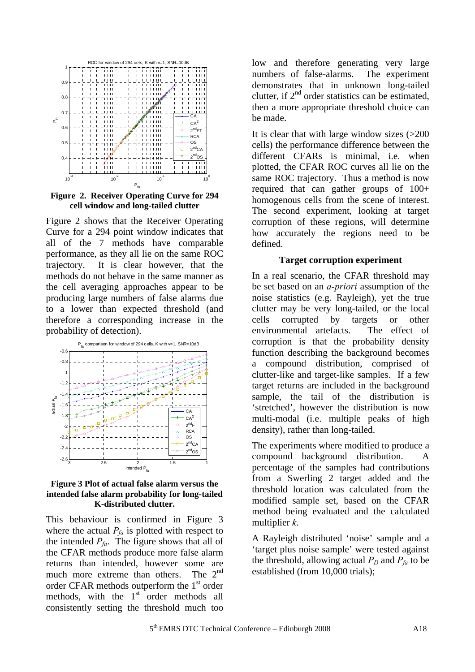

**Figure 2. Receiver Operating Curve for 294 cell window and long-tailed clutter**

Figure 2 shows that the Receiver Operating Curve for a 294 point window indicates that all of the 7 methods have comparable performance, as they all lie on the same ROC trajectory. It is clear however, that the methods do not behave in the same manner as the cell averaging approaches appear to be producing large numbers of false alarms due to a lower than expected threshold (and therefore a corresponding increase in the probability of detection).



#### **Figure 3 Plot of actual false alarm versus the intended false alarm probability for long-tailed K-distributed clutter.**

This behaviour is confirmed in Figure 3 where the actual  $P_{fa}$  is plotted with respect to the intended  $P_{fa}$ . The figure shows that all of the CFAR methods produce more false alarm returns than intended, however some are much more extreme than others. The  $2^{nd}$ order CFAR methods outperform the  $1<sup>st</sup>$  order methods, with the  $1<sup>st</sup>$  order methods all consistently setting the threshold much too low and therefore generating very large numbers of false-alarms. The experiment demonstrates that in unknown long-tailed clutter, if  $2<sup>nd</sup>$  order statistics can be estimated. then a more appropriate threshold choice can be made.

It is clear that with large window sizes (>200 cells) the performance difference between the different CFARs is minimal, i.e. when plotted, the CFAR ROC curves all lie on the same ROC trajectory. Thus a method is now required that can gather groups of 100+ homogenous cells from the scene of interest. The second experiment, looking at target corruption of these regions, will determine how accurately the regions need to be defined.

### **Target corruption experiment**

In a real scenario, the CFAR threshold may be set based on an *a-priori* assumption of the noise statistics (e.g. Rayleigh), yet the true clutter may be very long-tailed, or the local cells corrupted by targets or other environmental artefacts. The effect of corruption is that the probability density function describing the background becomes a compound distribution, comprised of clutter-like and target-like samples. If a few target returns are included in the background sample, the tail of the distribution is 'stretched', however the distribution is now multi-modal (i.e. multiple peaks of high density), rather than long-tailed.

The experiments where modified to produce a compound background distribution. A percentage of the samples had contributions from a Swerling 2 target added and the threshold location was calculated from the modified sample set, based on the CFAR method being evaluated and the calculated multiplier *k*.

A Rayleigh distributed 'noise' sample and a 'target plus noise sample' were tested against the threshold, allowing actual  $P_D$  and  $P_{fa}$  to be established (from 10,000 trials);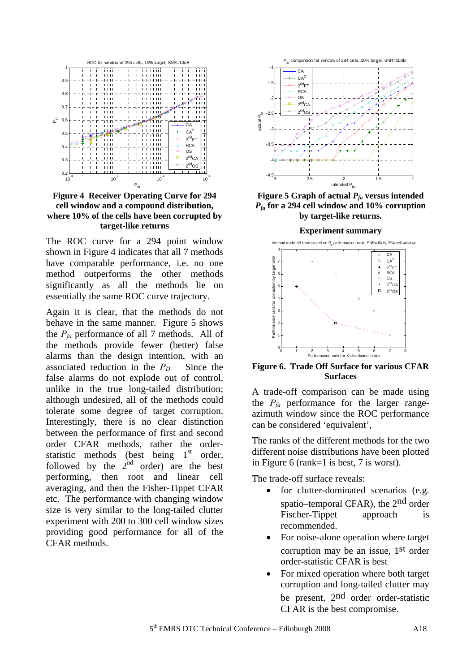

**Figure 4 Receiver Operating Curve for 294 cell window and a compound distribution, where 10% of the cells have been corrupted by target-like returns**

The ROC curve for a 294 point window shown in Figure 4 indicates that all 7 methods have comparable performance, i.e. no one method outperforms the other methods significantly as all the methods lie on essentially the same ROC curve trajectory.

Again it is clear, that the methods do not behave in the same manner. Figure 5 shows the  $P_f$ <sub>a</sub> performance of all 7 methods. All of the methods provide fewer (better) false alarms than the design intention, with an associated reduction in the  $P_D$ . Since the false alarms do not explode out of control, unlike in the true long-tailed distribution; although undesired, all of the methods could tolerate some degree of target corruption. Interestingly, there is no clear distinction between the performance of first and second order CFAR methods, rather the orderstatistic methods (best being  $1<sup>st</sup>$  order, followed by the  $2<sup>nd</sup>$  order) are the best performing, then root and linear cell averaging, and then the Fisher-Tippet CFAR etc. The performance with changing window size is very similar to the long-tailed clutter experiment with 200 to 300 cell window sizes providing good performance for all of the CFAR methods.



**Figure 5 Graph of actual**  $P_{fa}$  **versus intended** *Pfa* **for a 294 cell window and 10% corruption by target-like returns.** 



**Figure 6. Trade Off Surface for various CFAR Surfaces** 

A trade-off comparison can be made using the  $P_{fa}$  performance for the larger rangeazimuth window since the ROC performance can be considered 'equivalent',

The ranks of the different methods for the two different noise distributions have been plotted in Figure 6 (rank=1 is best, 7 is worst).

The trade-off surface reveals:

- for clutter-dominated scenarios (e.g. spatio–temporal CFAR), the 2nd order Fischer-Tippet approach is recommended.
- For noise-alone operation where target corruption may be an issue, 1st order order-statistic CFAR is best
- For mixed operation where both target corruption and long-tailed clutter may be present, 2nd order order-statistic CFAR is the best compromise.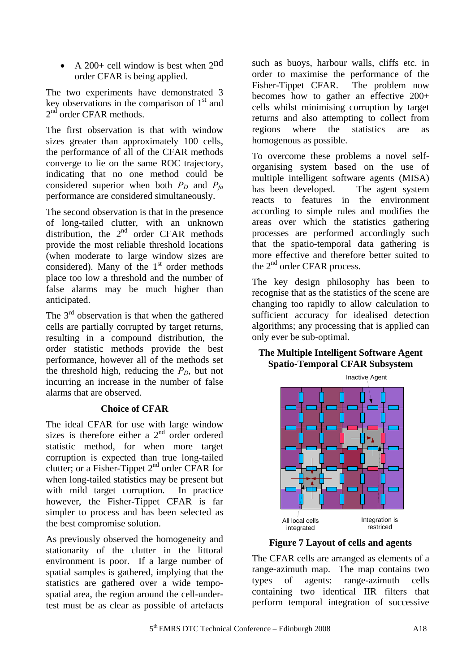• A 200+ cell window is best when 2nd order CFAR is being applied.

The two experiments have demonstrated 3 key observations in the comparison of  $1<sup>st</sup>$  and  $2<sup>nd</sup>$  order CFAR methods.

The first observation is that with window sizes greater than approximately 100 cells, the performance of all of the CFAR methods converge to lie on the same ROC trajectory, indicating that no one method could be considered superior when both  $P_D$  and  $P_{fa}$ performance are considered simultaneously.

The second observation is that in the presence of long-tailed clutter, with an unknown distribution, the  $2<sup>nd</sup>$  order CFAR methods provide the most reliable threshold locations (when moderate to large window sizes are considered). Many of the  $1<sup>st</sup>$  order methods place too low a threshold and the number of false alarms may be much higher than anticipated.

The  $3<sup>rd</sup>$  observation is that when the gathered cells are partially corrupted by target returns, resulting in a compound distribution, the order statistic methods provide the best performance, however all of the methods set the threshold high, reducing the  $P_D$ , but not incurring an increase in the number of false alarms that are observed.

# **Choice of CFAR**

The ideal CFAR for use with large window sizes is therefore either a  $2<sup>nd</sup>$  order ordered statistic method, for when more target corruption is expected than true long-tailed clutter; or a Fisher-Tippet  $2^{nd}$  order CFAR for when long-tailed statistics may be present but with mild target corruption. In practice however, the Fisher-Tippet CFAR is far simpler to process and has been selected as the best compromise solution.

As previously observed the homogeneity and stationarity of the clutter in the littoral environment is poor. If a large number of spatial samples is gathered, implying that the statistics are gathered over a wide tempospatial area, the region around the cell-undertest must be as clear as possible of artefacts

such as buoys, harbour walls, cliffs etc. in order to maximise the performance of the Fisher-Tippet CFAR. The problem now becomes how to gather an effective 200+ cells whilst minimising corruption by target returns and also attempting to collect from regions where the statistics are as homogenous as possible.

To overcome these problems a novel selforganising system based on the use of multiple intelligent software agents (MISA) has been developed. The agent system reacts to features in the environment according to simple rules and modifies the areas over which the statistics gathering processes are performed accordingly such that the spatio-temporal data gathering is more effective and therefore better suited to the  $2<sup>nd</sup>$  order CFAR process.

The key design philosophy has been to recognise that as the statistics of the scene are changing too rapidly to allow calculation to sufficient accuracy for idealised detection algorithms; any processing that is applied can only ever be sub-optimal.

# **The Multiple Intelligent Software Agent Spatio-Temporal CFAR Subsystem**



**Figure 7 Layout of cells and agents**

The CFAR cells are arranged as elements of a range-azimuth map. The map contains two types of agents: range-azimuth cells containing two identical IIR filters that perform temporal integration of successive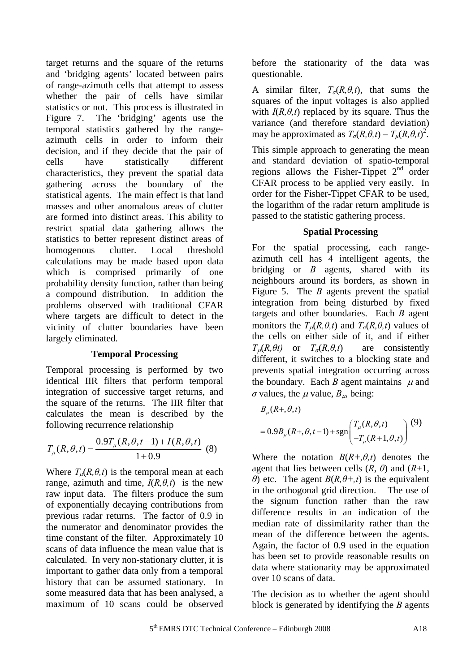target returns and the square of the returns and 'bridging agents' located between pairs of range-azimuth cells that attempt to assess whether the pair of cells have similar statistics or not. This process is illustrated in Figure 7. The 'bridging' agents use the temporal statistics gathered by the rangeazimuth cells in order to inform their decision, and if they decide that the pair of cells have statistically different characteristics, they prevent the spatial data gathering across the boundary of the statistical agents. The main effect is that land masses and other anomalous areas of clutter are formed into distinct areas. This ability to restrict spatial data gathering allows the statistics to better represent distinct areas of homogenous clutter. Local threshold calculations may be made based upon data which is comprised primarily of one probability density function, rather than being a compound distribution. In addition the problems observed with traditional CFAR where targets are difficult to detect in the vicinity of clutter boundaries have been largely eliminated.

## **Temporal Processing**

Temporal processing is performed by two identical IIR filters that perform temporal integration of successive target returns, and the square of the returns. The IIR filter that calculates the mean is described by the following recurrence relationship

$$
T_{\mu}(R,\theta,t) = \frac{0.9T_{\mu}(R,\theta,t-1) + I(R,\theta,t)}{1+0.9}
$$
 (8)

Where  $T_u(R, \theta, t)$  is the temporal mean at each range, azimuth and time,  $I(R, \theta, t)$  is the new raw input data. The filters produce the sum of exponentially decaying contributions from previous radar returns. The factor of 0.9 in the numerator and denominator provides the time constant of the filter. Approximately 10 scans of data influence the mean value that is calculated. In very non-stationary clutter, it is important to gather data only from a temporal history that can be assumed stationary. In some measured data that has been analysed, a maximum of 10 scans could be observed before the stationarity of the data was questionable.

A similar filter,  $T_{\sigma}(R,\theta,t)$ , that sums the squares of the input voltages is also applied with  $I(R, \theta, t)$  replaced by its square. Thus the variance (and therefore standard deviation) may be approximated as  $T_{\sigma}(R, \theta, t) - T_{\mu}(R, \theta, t)^2$ .

This simple approach to generating the mean and standard deviation of spatio-temporal regions allows the Fisher-Tippet  $2<sup>nd</sup>$  order CFAR process to be applied very easily. In order for the Fisher-Tippet CFAR to be used, the logarithm of the radar return amplitude is passed to the statistic gathering process.

## **Spatial Processing**

For the spatial processing, each rangeazimuth cell has 4 intelligent agents, the bridging or *B* agents, shared with its neighbours around its borders, as shown in Figure 5. The *B* agents prevent the spatial integration from being disturbed by fixed targets and other boundaries. Each *B* agent monitors the  $T_u(R, \theta, t)$  and  $T_\sigma(R, \theta, t)$  values of the cells on either side of it, and if either  $T_{\alpha}(R, \theta t)$  or  $T_{\alpha}(R, \theta, t)$  are consistently different, it switches to a blocking state and prevents spatial integration occurring across the boundary. Each *B* agent maintains  $\mu$  and *σ* values, the  $\mu$  value,  $B_{\mu}$ , being:

$$
B_{\mu}(R+,\theta,t)
$$
  
= 0.9B\_{\mu}(R+,\theta,t-1) + sgn $\left(\frac{T_{\mu}(R,\theta,t)}{-T_{\mu}(R+1,\theta,t)}\right)$  (9)

Where the notation  $B(R+\theta,t)$  denotes the agent that lies between cells  $(R, \theta)$  and  $(R+1, \theta)$ *θ*) etc. The agent  $B(R, \theta + t)$  is the equivalent in the orthogonal grid direction. The use of the signum function rather than the raw difference results in an indication of the median rate of dissimilarity rather than the mean of the difference between the agents. Again, the factor of 0.9 used in the equation has been set to provide reasonable results on data where stationarity may be approximated over 10 scans of data.

The decision as to whether the agent should block is generated by identifying the *B* agents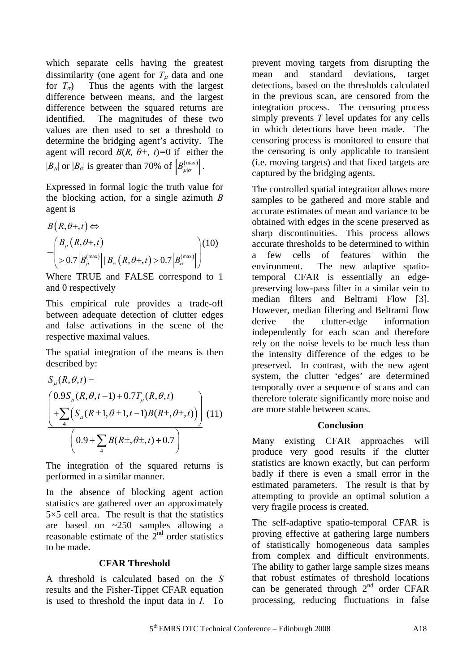which separate cells having the greatest dissimilarity (one agent for  $T<sub>u</sub>$  data and one for  $T_{\sigma}$ ) Thus the agents with the largest difference between means, and the largest difference between the squared returns are identified. The magnitudes of these two values are then used to set a threshold to determine the bridging agent's activity. The agent will record  $B(R, \theta +, t) = 0$  if either the  $|B_{\mu}|$  or  $|B_{\sigma}|$  is greater than 70% of  $|B_{\mu|\sigma}^{(\text{max})}|$ .

Expressed in formal logic the truth value for the blocking action, for a single azimuth *B* agent is

$$
B(R, \theta+, t) \Leftrightarrow
$$
  
\n
$$
\neg \left( \frac{B_{\mu}(R, \theta+, t)}{20.7 \left| B_{\mu}^{(\text{max})} \right| | B_{\sigma} (R, \theta+, t) > 0.7 \left| B_{\sigma}^{(\text{max})} \right| \right)^{10}
$$

Where TRUE and FALSE correspond to 1 and 0 respectively

This empirical rule provides a trade-off between adequate detection of clutter edges and false activations in the scene of the respective maximal values.

The spatial integration of the means is then described by:

$$
S_{\mu}(R,\theta,t) =
$$
\n
$$
\left(\frac{0.9S_{\mu}(R,\theta,t-1) + 0.7T_{\mu}(R,\theta,t)}{+\sum_{4} \left(S_{\mu}(R \pm 1,\theta \pm 1,t-1)B(R \pm, \theta \pm, t)\right)}\right)
$$
\n
$$
(11)
$$
\n
$$
\left(0.9 + \sum_{4} B(R \pm, \theta \pm, t) + 0.7\right)
$$

The integration of the squared returns is performed in a similar manner.

In the absence of blocking agent action statistics are gathered over an approximately  $5\times5$  cell area. The result is that the statistics are based on ~250 samples allowing a reasonable estimate of the  $2<sup>nd</sup>$  order statistics to be made.

## **CFAR Threshold**

A threshold is calculated based on the *S* results and the Fisher-Tippet CFAR equation is used to threshold the input data in *I.* To prevent moving targets from disrupting the mean and standard deviations, target detections, based on the thresholds calculated in the previous scan, are censored from the integration process. The censoring process simply prevents *T* level updates for any cells in which detections have been made. The censoring process is monitored to ensure that the censoring is only applicable to transient (i.e. moving targets) and that fixed targets are captured by the bridging agents.

The controlled spatial integration allows more samples to be gathered and more stable and accurate estimates of mean and variance to be obtained with edges in the scene preserved as sharp discontinuities. This process allows accurate thresholds to be determined to within a few cells of features within the environment. The new adaptive spatiotemporal CFAR is essentially an edgepreserving low-pass filter in a similar vein to median filters and Beltrami Flow [3]. However, median filtering and Beltrami flow derive the clutter-edge information independently for each scan and therefore rely on the noise levels to be much less than the intensity difference of the edges to be preserved. In contrast, with the new agent system, the clutter 'edges' are determined temporally over a sequence of scans and can therefore tolerate significantly more noise and are more stable between scans.

#### **Conclusion**

Many existing CFAR approaches will produce very good results if the clutter statistics are known exactly, but can perform badly if there is even a small error in the estimated parameters. The result is that by attempting to provide an optimal solution a very fragile process is created.

The self-adaptive spatio-temporal CFAR is proving effective at gathering large numbers of statistically homogeneous data samples from complex and difficult environments. The ability to gather large sample sizes means that robust estimates of threshold locations can be generated through  $2<sup>nd</sup>$  order CFAR processing, reducing fluctuations in false